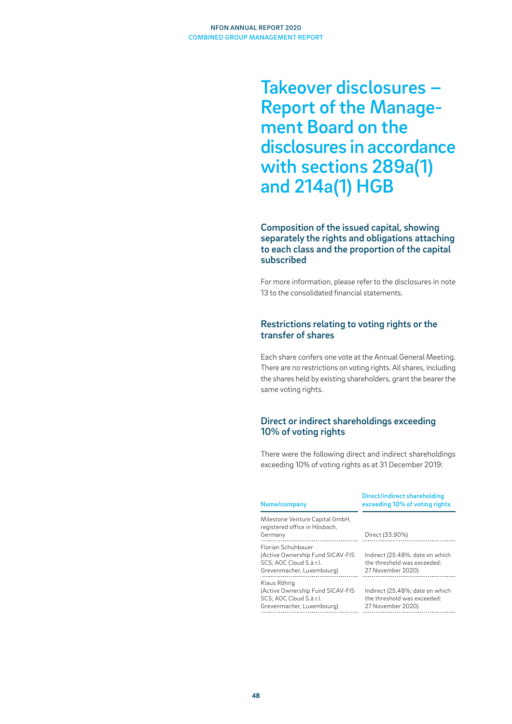Takeover disclosures – Report of the Management Board on the disclosures in accordance with sections 289a(1) and 214a(1) HGB

## Composition of the issued capital, showing separately the rights and obligations attaching to each class and the proportion of the capital subscribed

For more information, please refer to the disclosures in note 13 to the consolidated financial statements.

## Restrictions relating to voting rights or the transfer of shares

Each share confers one vote at the Annual General Meeting. There are no restrictions on voting rights. All shares, including the shares held by existing shareholders, grant the bearer the same voting rights.

## Direct or indirect shareholdings exceeding 10% of voting rights

There were the following direct and indirect shareholdings exceeding 10% of voting rights as at 31 December 2019:

| Name/company                                                                                                          | Direct/indirect shareholding<br>exceeding 10% of voting rights                      |
|-----------------------------------------------------------------------------------------------------------------------|-------------------------------------------------------------------------------------|
| Milestone Venture Capital GmbH,<br>registered office in Hösbach,<br>Germany                                           | Direct (33.90%)                                                                     |
| <b>Florian Schuhbauer</b><br>(Active Ownership Fund SICAV-FIS<br>SCS; AOC Cloud S.à r.l.<br>Grevenmacher, Luxembourg) | Indirect (25.48%; date on which<br>the threshold was exceeded:<br>27 November 2020) |
| Klaus Röhrig<br>(Active Ownership Fund SICAV-FIS<br>SCS; AOC Cloud S.à r.l.<br>Grevenmacher, Luxembourg)              | Indirect (25.48%; date on which<br>the threshold was exceeded:<br>27 November 2020) |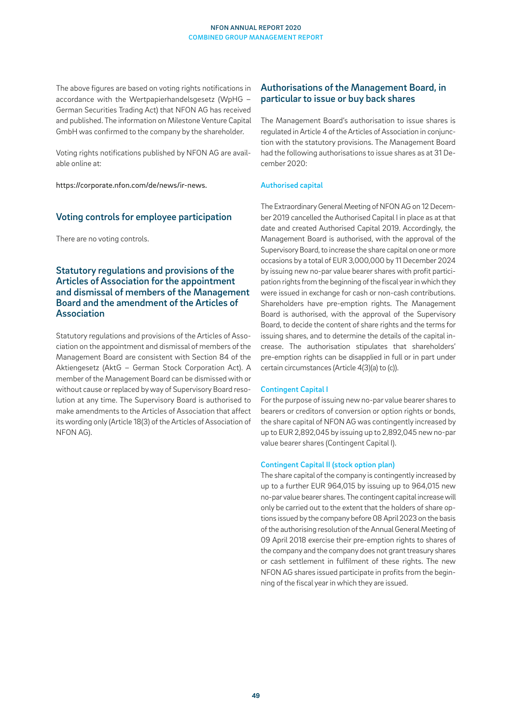The above figures are based on voting rights notifications in accordance with the Wertpapierhandelsgesetz (WpHG – German Securities Trading Act) that NFON AG has received and published. The information on Milestone Venture Capital GmbH was confirmed to the company by the shareholder.

Voting rights notifications published by NFON AG are available online at:

https://corporate.nfon.com/de/news/ir-news.

## Voting controls for employee participation

There are no voting controls.

## Statutory regulations and provisions of the Articles of Association for the appointment and dismissal of members of the Management Board and the amendment of the Articles of Association

Statutory regulations and provisions of the Articles of Association on the appointment and dismissal of members of the Management Board are consistent with Section 84 of the Aktiengesetz (AktG – German Stock Corporation Act). A member of the Management Board can be dismissed with or without cause or replaced by way of Supervisory Board resolution at any time. The Supervisory Board is authorised to make amendments to the Articles of Association that affect its wording only (Article 18(3) of the Articles of Association of NFON AG).

## Authorisations of the Management Board, in particular to issue or buy back shares

The Management Board's authorisation to issue shares is regulated in Article 4 of the Articles of Association in conjunction with the statutory provisions. The Management Board had the following authorisations to issue shares as at 31 December 2020:

#### Authorised capital

The Extraordinary General Meeting of NFON AG on 12 December 2019 cancelled the Authorised Capital I in place as at that date and created Authorised Capital 2019. Accordingly, the Management Board is authorised, with the approval of the Supervisory Board, to increase the share capital on one or more occasions by a total of EUR 3,000,000 by 11 December 2024 by issuing new no-par value bearer shares with profit participation rights from the beginning of the fiscal year in which they were issued in exchange for cash or non-cash contributions. Shareholders have pre-emption rights. The Management Board is authorised, with the approval of the Supervisory Board, to decide the content of share rights and the terms for issuing shares, and to determine the details of the capital increase. The authorisation stipulates that shareholders' pre-emption rights can be disapplied in full or in part under certain circumstances (Article 4(3)(a) to (c)).

#### Contingent Capital I

For the purpose of issuing new no-par value bearer shares to bearers or creditors of conversion or option rights or bonds, the share capital of NFON AG was contingently increased by up to EUR 2,892,045 by issuing up to 2,892,045 new no-par value bearer shares (Contingent Capital I).

#### Contingent Capital II (stock option plan)

The share capital of the company is contingently increased by up to a further EUR 964,015 by issuing up to 964,015 new no-par value bearer shares. The contingent capital increase will only be carried out to the extent that the holders of share options issued by the company before 08 April 2023 on the basis of the authorising resolution of the Annual General Meeting of 09 April 2018 exercise their pre-emption rights to shares of the company and the company does not grant treasury shares or cash settlement in fulfilment of these rights. The new NFON AG shares issued participate in profits from the beginning of the fiscal year in which they are issued.